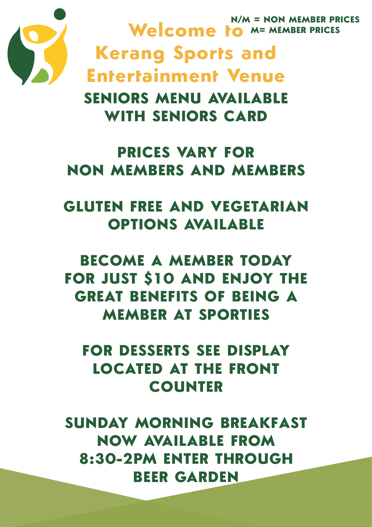

**N/M = NON MEMBER PRICES Welcome to M= MEMBER PRICES Kerang Sports and Entertainment Venue SENIORS MENU AVAILABLE WITH SENIORS CARD**

### **PRICES VARY FOR NON MEMBERS AND MEMBERS**

### **GLUTEN FREE AND VEGETARIAN OPTIONS AVAILABLE**

**BECOME A MEMBER TODAY FOR JUST \$10 AND ENJOY THE GREAT BENEFITS OF BEING A MEMBER AT SPORTIES**

**FOR DESSERTS SEE DISPLAY LOCATED AT THE FRONT COUNTER**

**SUNDAY MORNING BREAKFAST NOW AVAILABLE FROM 8:30-2PM ENTER THROUGH BEER GARDEN**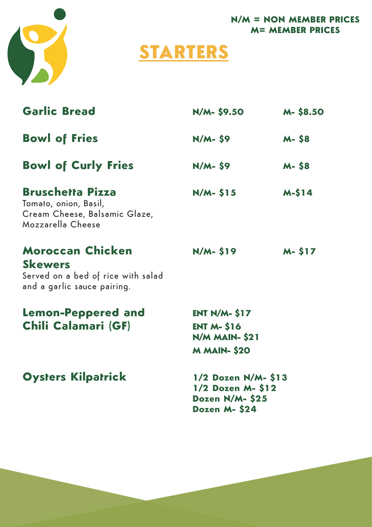

# **STARTERS**

| <b>Garlic Bread</b>                                                                                            | N/M- \$9.50                                                                           | <b>M-S8.50</b> |
|----------------------------------------------------------------------------------------------------------------|---------------------------------------------------------------------------------------|----------------|
| <b>Bowl of Fries</b>                                                                                           | $N/M - 59$                                                                            | <b>M-S8</b>    |
| <b>Bowl of Curly Fries</b>                                                                                     | $N/M - 59$                                                                            | <b>M-S8</b>    |
| <b>Bruschetta Pizza</b><br>Tomato, onion, Basil,<br>Cream Cheese, Balsamic Glaze,<br>Mozzarella Cheese         | $N/M - 515$                                                                           | $M-S14$        |
| <b>Moroccan Chicken</b><br><b>Skewers</b><br>Served on a bed of rice with salad<br>and a garlic sauce pairing. | $N/M - 519$                                                                           | M- \$17        |
| <b>Lemon-Peppered and</b><br>Chili Calamari (GF)                                                               | $ENT N/M - 517$<br><b>ENT M- \$16</b><br><b>N/M MAIN- \$21</b><br><b>M MAIN- \$20</b> |                |
| <b>Oysters Kilpatrick</b>                                                                                      | 1/2 Dozen N/M- \$13<br>1/2 Dozen M-\$12<br>Dozen N/M-\$25<br>Dozen M-\$24             |                |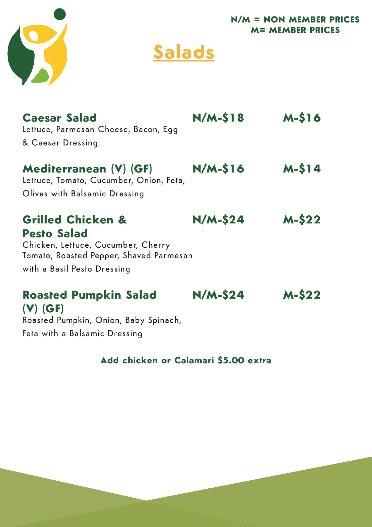



| <b>Caesar Salad</b><br>Lettuce, Parmesan Cheese, Bacon, Egg                   | $N/M-S18$      | $M-S16$ |
|-------------------------------------------------------------------------------|----------------|---------|
| & Caesar Dressing.                                                            |                |         |
| Mediterranean (V) (GF)<br>Lettuce, Tomato, Cucumber, Onion, Feta,             | $N/M-S16$      | $M-S14$ |
| Olives with Balsamic Dressing                                                 |                |         |
| <b>Grilled Chicken &amp;</b><br><b>Pesto Salad</b>                            | <b>N/M-S24</b> | $M-S22$ |
| Chicken, Lettuce, Cucumber, Cherry<br>Tomato, Roasted Pepper, Shaved Parmesan |                |         |
| with a Basil Pesto Dressing                                                   |                |         |
| <b>Roasted Pumpkin Salad</b><br>$(V)$ (GF)                                    | <b>N/M-S24</b> | $M-S22$ |

Roasted Pumpkin, Onion, Baby Spinach, Feta with a Balsamic Dressing

#### **Add chicken or Calamari \$5.00 extra**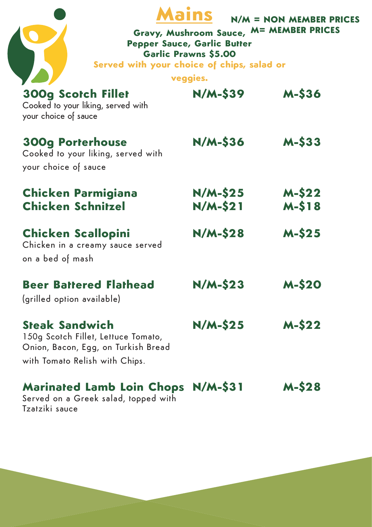| Served with your choice of chips, salad or                                                                                            | <b>Pepper Sauce, Garlic Butter</b><br><b>Garlic Prawns \$5.00</b><br>veggies. | $N/M = NON$ MEMBER PRICES<br>Gravy, Mushroom Sauce, M= MEMBER PRICES |
|---------------------------------------------------------------------------------------------------------------------------------------|-------------------------------------------------------------------------------|----------------------------------------------------------------------|
| <b>300g Scotch Fillet</b><br>Cooked to your liking, served with<br>your choice of sauce                                               | <b>N/M-\$39</b>                                                               | <b>M-S36</b>                                                         |
| <b>300g Porterhouse</b><br>Cooked to your liking, served with<br>your choice of sauce                                                 | $N/M-$ 536                                                                    | $M-S33$                                                              |
| <b>Chicken Parmigiana</b><br><b>Chicken Schnitzel</b>                                                                                 | $N/M-S25$<br>N/M-\$21                                                         | <b>M-S22</b><br><b>M-S18</b>                                         |
| <b>Chicken Scallopini</b><br>Chicken in a creamy sauce served<br>on a bed of mash                                                     | $N/M-S28$                                                                     | $M-S25$                                                              |
| <b>Beer Battered Flathead</b><br>(grilled option available)                                                                           | <b>N/M-S23</b>                                                                | <b>M-S20</b>                                                         |
| <b>Steak Sandwich</b><br>150g Scotch Fillet, Lettuce Tomato,<br>Onion, Bacon, Egg, on Turkish Bread<br>with Tomato Relish with Chips. | $N/M-S25$                                                                     | $M-S22$                                                              |
| <b>Marinated Lamb Loin Chops N/M-\$31</b>                                                                                             |                                                                               | <b>M-S28</b>                                                         |

Served on a Greek salad, topped with Tzatziki sauce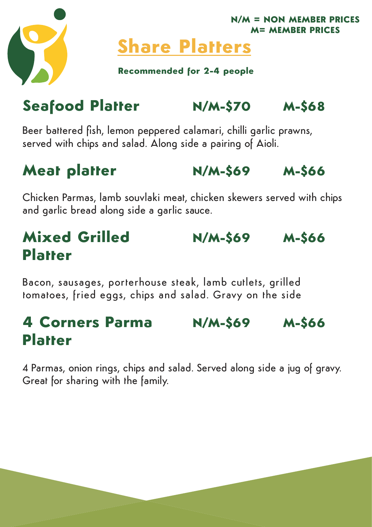



# **Share Platters**

**Recommended for 2-4 people**

# **Seafood Platter N/M-\$70 M-\$68**

Beer battered fish, lemon peppered calamari, chilli garlic prawns, served with chips and salad. Along side a pairing of Aioli.

### **Meat platter N/M-\$69 M-\$66**

Chicken Parmas, lamb souvlaki meat, chicken skewers served with chips and garlic bread along side a garlic sauce.

# **Mixed Grilled N/M-\$69 M-\$66 Platter**

Bacon, sausages, porterhouse steak, lamb cutlets, grilled tomatoes, fried eggs, chips and salad. Gravy on the side

### **4 Corners Parma N/M-\$69 M-\$66 Platter**

4 Parmas, onion rings, chips and salad. Served along side a jug of gravy. Great for sharing with the family.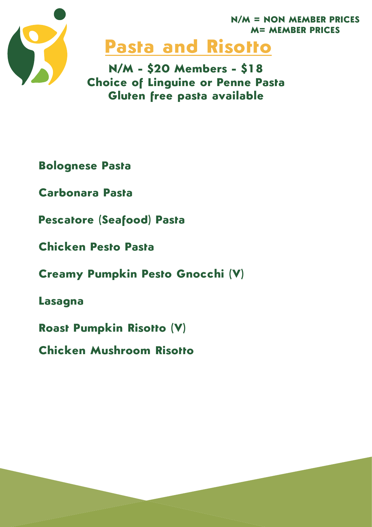

# **Pasta and Risotto**

**N/M - \$20 Members - \$18 Choice of Linguine or Penne Pasta Gluten free pasta available**

**Bolognese Pasta**

**Carbonara Pasta**

**Pescatore (Seafood) Pasta**

**Chicken Pesto Pasta**

**Creamy Pumpkin Pesto Gnocchi (V)** 

**Lasagna**

**Roast Pumpkin Risotto (V)** 

**Chicken Mushroom Risotto**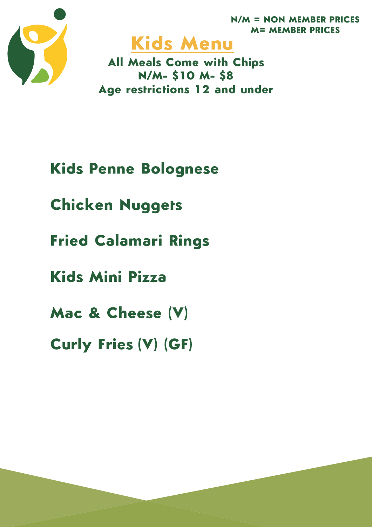





**All Meals Come with Chips N/M- \$10 M- \$8 Age restrictions 12 and under**

## **Kids Penne Bolognese**

**Chicken Nuggets**

**Fried Calamari Rings**

**Kids Mini Pizza**

**Mac & Cheese (V)**

**Curly Fries (V) (GF)**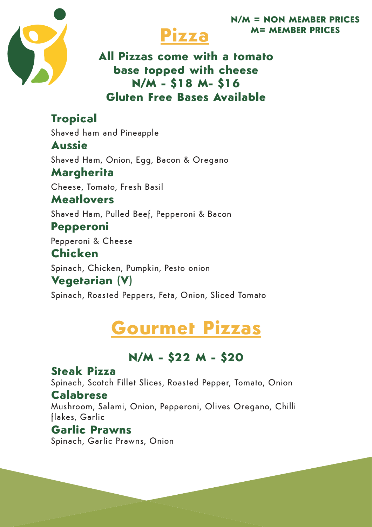



#### **All Pizzas come with a tomato base topped with cheese N/M - \$18 M- \$16 Gluten Free Bases Available**

**Tropical**  Shaved ham and Pineapple **Aussie** Shaved Ham, Onion, Egg, Bacon & Oregano **Margherita**  Cheese, Tomato, Fresh Basil **Meatlovers** Shaved Ham, Pulled Beef, Pepperoni & Bacon **Pepperoni**  Pepperoni & Cheese **Chicken** Spinach, Chicken, Pumpkin, Pesto onion **Vegetarian (V)**  Spinach, Roasted Peppers, Feta, Onion, Sliced Tomato

# **Gourmet Pizzas**

#### **N/M - \$22 M - \$20**

#### **Steak Pizza**

Spinach, Scotch Fillet Slices, Roasted Pepper, Tomato, Onion

#### **Calabrese**

Mushroom, Salami, Onion, Pepperoni, Olives Oregano, Chilli flakes, Garlic

#### **Garlic Prawns**

Spinach, Garlic Prawns, Onion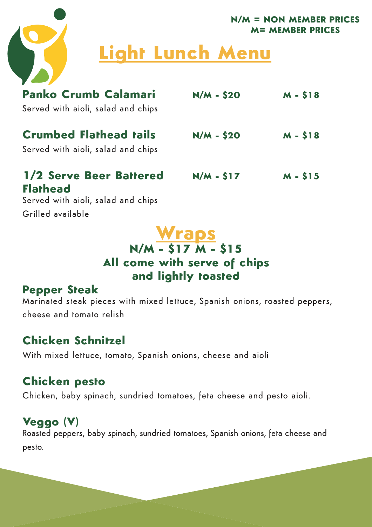

# **Light Lunch Menu**

| <b>Panko Crumb Calamari</b><br>Served with aioli, salad and chips                | $N/M - $20$ | $M - $18$ |
|----------------------------------------------------------------------------------|-------------|-----------|
| <b>Crumbed Flathead tails</b><br>Served with aioli, salad and chips              | $N/M - $20$ | $M - $18$ |
| 1/2 Serve Beer Battered<br><b>Flathead</b><br>Served with aioli, salad and chips | $N/M - $17$ | $M - $15$ |

Grilled available

#### **Wraps N/M - \$17 M - \$15 All come with serve of chips and lightly toasted**

#### **Pepper Steak**

Marinated steak pieces with mixed lettuce, Spanish onions, roasted peppers, cheese and tomato relish

#### **Chicken Schnitzel**

With mixed lettuce, tomato, Spanish onions, cheese and aioli

#### **Chicken pesto**

Chicken, baby spinach, sundried tomatoes, feta cheese and pesto aioli.

### **Veggo (V)**

Roasted peppers, baby spinach, sundried tomatoes, Spanish onions, feta cheese and pesto.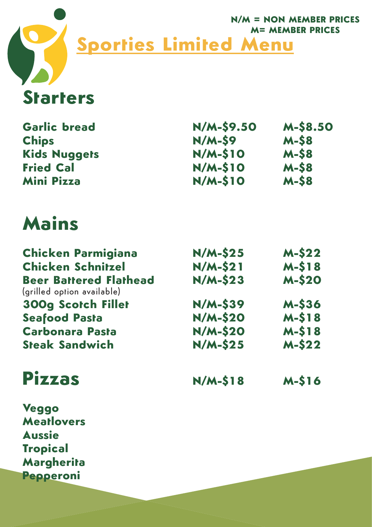

# **Starters**

| <b>Garlic bread</b>                                         | N/M-\$9.50      | <b>M-\$8.50</b> |
|-------------------------------------------------------------|-----------------|-----------------|
| <b>Chips</b>                                                | $N/M-S9$        | <b>M-S8</b>     |
| <b>Kids Nuggets</b>                                         | $N/M-S10$       | <b>M-S8</b>     |
| <b>Fried Cal</b>                                            | <b>N/M-\$10</b> | $M-S8$          |
| <b>Mini Pizza</b>                                           | <b>N/M-\$10</b> | <b>M-S8</b>     |
| Mains                                                       |                 |                 |
| <b>Chicken Parmigiana</b>                                   | $N/M-S25$       | $M-S22$         |
| <b>Chicken Schnitzel</b>                                    | $N/M-S21$       | $M-S18$         |
| <b>Beer Battered Flathead</b><br>(grilled option available) | $N/M-S23$       | <b>M-\$20</b>   |
| <b>300g Scotch Fillet</b>                                   | $N/M-$ \$39     | <b>M-536</b>    |
| <b>Seafood Pasta</b>                                        | <b>N/M-\$20</b> | $M-S18$         |
| <b>Carbonara Pasta</b>                                      | <b>N/M-\$20</b> | $M-S18$         |
| <b>Steak Sandwich</b>                                       | $N/M-S25$       | $M-S22$         |

**Pizzas N/M-\$18 M-\$16**

**Veggo Meatlovers Aussie Tropical Margherita Pepperoni**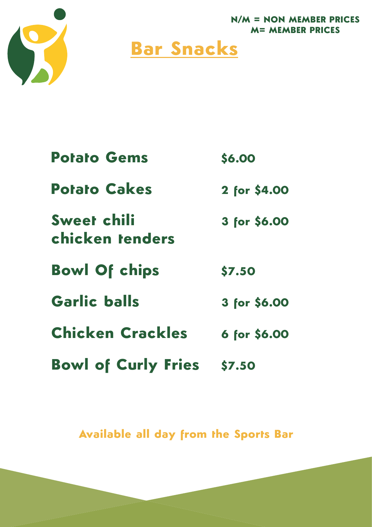

# **Bar Snacks**

| <b>Potato Gems</b>             | \$6.00       |
|--------------------------------|--------------|
| <b>Potato Cakes</b>            | 2 for \$4.00 |
| Sweet chili<br>chicken tenders | 3 for \$6.00 |
| <b>Bowl Of chips</b>           | \$7.50       |
| <b>Garlic balls</b>            | 3 for \$6.00 |
| <b>Chicken Crackles</b>        | 6 for \$6.00 |
| <b>Bowl of Curly Fries</b>     | \$7.50       |

**Available all day from the Sports Bar**